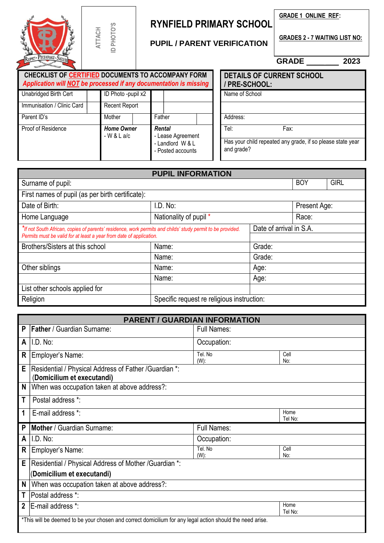|                                                                                                                                                                                   | ATTACH | ID PHOTO'S                        | <b>RYNFIELD PRIMARY SCHOOL</b><br><b>PUPIL / PARENT VERIFICATION</b>        |                          |                    | <b>GRADE 1 ONLINE REF:</b><br><b>GRADES 2 - 7 WAITING LIST NO:</b> |                                                                    |                           |                                  |      |
|-----------------------------------------------------------------------------------------------------------------------------------------------------------------------------------|--------|-----------------------------------|-----------------------------------------------------------------------------|--------------------------|--------------------|--------------------------------------------------------------------|--------------------------------------------------------------------|---------------------------|----------------------------------|------|
| RESPECT - PERSEVERANCE - SUCCESS                                                                                                                                                  |        |                                   |                                                                             |                          |                    |                                                                    |                                                                    |                           | $GRADE$ _______                  | 2023 |
| CHECKLIST OF CERTIFIED DOCUMENTS TO ACCOMPANY FORM<br>Application will NOT be processed if any documentation is missing                                                           |        |                                   |                                                                             |                          |                    | PRE-SCHOOL:                                                        |                                                                    |                           | <b>DETAILS OF CURRENT SCHOOL</b> |      |
| Unabridged Birth Cert                                                                                                                                                             |        | ID Photo -pupil x2                |                                                                             |                          |                    | Name of School                                                     |                                                                    |                           |                                  |      |
| Immunisation / Clinic Card                                                                                                                                                        |        | Recent Report                     |                                                                             |                          |                    |                                                                    |                                                                    |                           |                                  |      |
| Parent ID's                                                                                                                                                                       |        | Mother                            |                                                                             | Father<br>Address:       |                    |                                                                    |                                                                    |                           |                                  |      |
| Proof of Residence                                                                                                                                                                |        | <b>Home Owner</b><br>$-W & L$ a/c | <b>Rental</b><br>- Lease Agreement<br>- Landlord W & L<br>- Posted accounts |                          | Tel:<br>and grade? |                                                                    | Fax:<br>Has your child repeated any grade, if so please state year |                           |                                  |      |
|                                                                                                                                                                                   |        |                                   |                                                                             | <b>PUPIL INFORMATION</b> |                    |                                                                    |                                                                    |                           |                                  |      |
| Surname of pupil:                                                                                                                                                                 |        |                                   |                                                                             |                          |                    |                                                                    |                                                                    | <b>BOY</b><br><b>GIRL</b> |                                  |      |
| First names of pupil (as per birth certificate):                                                                                                                                  |        |                                   |                                                                             |                          |                    |                                                                    |                                                                    |                           |                                  |      |
| Date of Birth:                                                                                                                                                                    |        |                                   | I.D. No:                                                                    |                          |                    | Present Age:                                                       |                                                                    |                           |                                  |      |
| Home Language                                                                                                                                                                     |        |                                   | Nationality of pupil *                                                      |                          |                    | Race:                                                              |                                                                    |                           |                                  |      |
| *If not South African, copies of parents' residence, work permits and childs' study permit to be provided.<br>Permits must be valid for at least a year from date of application. |        |                                   |                                                                             |                          |                    | Date of arrival in S.A.                                            |                                                                    |                           |                                  |      |
| Brothers/Sisters at this school                                                                                                                                                   |        |                                   |                                                                             | Name:                    |                    | Grade:                                                             |                                                                    |                           |                                  |      |
|                                                                                                                                                                                   |        |                                   |                                                                             | Name:                    |                    |                                                                    | Grade:                                                             |                           |                                  |      |

|   | Religion                                                                             | Specific request re religious instruction: |                 |
|---|--------------------------------------------------------------------------------------|--------------------------------------------|-----------------|
|   |                                                                                      |                                            |                 |
|   |                                                                                      | <b>PARENT / GUARDIAN INFORMATION</b>       |                 |
| P | <b>Father / Guardian Surname:</b>                                                    | <b>Full Names:</b>                         |                 |
| A | I.D. No:                                                                             | Occupation:                                |                 |
| R | Employer's Name:                                                                     | Tel. No<br>$(W)$ :                         | Cell<br>No:     |
| E | Residential / Physical Address of Father / Guardian *:<br>(Domicilium et executandi) |                                            |                 |
| N | When was occupation taken at above address?:                                         |                                            |                 |
| T | Postal address *:                                                                    |                                            |                 |
| 1 | E-mail address *:                                                                    |                                            | Home<br>Tel No: |
| P | Mother / Guardian Surname:                                                           | <b>Full Names:</b>                         |                 |
| A | I.D. No:                                                                             | Occupation:                                |                 |
| R | Employer's Name:                                                                     | Tel. No<br>$(W)$ :                         | Cell<br>No:     |
| Е | Residential / Physical Address of Mother / Guardian *:                               |                                            |                 |
|   | (Domicilium et executandi)                                                           |                                            |                 |
| N | When was occupation taken at above address?:                                         |                                            |                 |
| Т | Postal address *:                                                                    |                                            |                 |
| 2 | IE-mail address *:                                                                   |                                            | Home<br>Tel No: |

Name: Age:

\*This will be deemed to be your chosen and correct domicilium for any legal action should the need arise.

Other siblings **Name:** Age:

List other schools applied for

 $\lceil$ 

⅂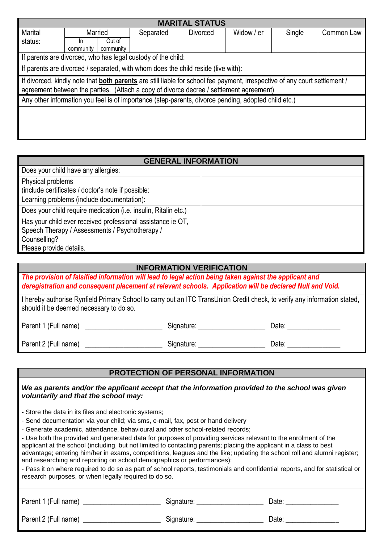| <b>MARITAL STATUS</b>                                                                                                                                                                                                 |                                                                                                     |           |                                                              |          |            |        |            |
|-----------------------------------------------------------------------------------------------------------------------------------------------------------------------------------------------------------------------|-----------------------------------------------------------------------------------------------------|-----------|--------------------------------------------------------------|----------|------------|--------|------------|
| Marital                                                                                                                                                                                                               | Married                                                                                             |           | Separated                                                    | Divorced | Widow / er | Single | Common Law |
| status:                                                                                                                                                                                                               | In.                                                                                                 | Out of    |                                                              |          |            |        |            |
|                                                                                                                                                                                                                       | community                                                                                           | community |                                                              |          |            |        |            |
|                                                                                                                                                                                                                       |                                                                                                     |           | If parents are divorced, who has legal custody of the child: |          |            |        |            |
|                                                                                                                                                                                                                       | If parents are divorced / separated, with whom does the child reside (live with):                   |           |                                                              |          |            |        |            |
| If divorced, kindly note that both parents are still liable for school fee payment, irrespective of any court settlement /<br>agreement between the parties. (Attach a copy of divorce decree / settlement agreement) |                                                                                                     |           |                                                              |          |            |        |            |
|                                                                                                                                                                                                                       | Any other information you feel is of importance (step-parents, divorce pending, adopted child etc.) |           |                                                              |          |            |        |            |
|                                                                                                                                                                                                                       |                                                                                                     |           |                                                              |          |            |        |            |

| <b>GENERAL INFORMATION</b>                                      |  |  |  |
|-----------------------------------------------------------------|--|--|--|
| Does your child have any allergies:                             |  |  |  |
| Physical problems                                               |  |  |  |
| (include certificates / doctor's note if possible:              |  |  |  |
| Learning problems (include documentation):                      |  |  |  |
| Does your child require medication (i.e. insulin, Ritalin etc.) |  |  |  |
| Has your child ever received professional assistance ie OT,     |  |  |  |
| Speech Therapy / Assessments / Psychotherapy /                  |  |  |  |
| Counselling?                                                    |  |  |  |
| Please provide details.                                         |  |  |  |

## **INFORMATION VERIFICATION**

*The provision of falsified information will lead to legal action being taken against the applicant and deregistration and consequent placement at relevant schools. Application will be declared Null and Void.*

| I hereby authorise Rynfield Primary School to carry out an ITC TransUnion Credit check, to verify any information stated, |  |  |
|---------------------------------------------------------------------------------------------------------------------------|--|--|
| should it be deemed necessary to do so.                                                                                   |  |  |

| Parent 1 (Full name) | Signature: | Date: |
|----------------------|------------|-------|
| Parent 2 (Full name) | Signature: | Date: |

## **PROTECTION OF PERSONAL INFORMATION**

*We as parents and/or the applicant accept that the information provided to the school was given voluntarily and that the school may:* 

- Store the data in its files and electronic systems;
- Send documentation via your child; via sms, e-mail, fax, post or hand delivery
- Generate academic, attendance, behavioural and other school-related records;
- Use both the provided and generated data for purposes of providing services relevant to the enrolment of the applicant at the school (including, but not limited to contacting parents; placing the applicant in a class to best advantage; entering him/her in exams, competitions, leagues and the like; updating the school roll and alumni register; and researching and reporting on school demographics or performances);
- Pass it on where required to do so as part of school reports, testimonials and confidential reports, and for statistical or research purposes, or when legally required to do so.

| Parent 1 (Full name) | Signature: | Date: |
|----------------------|------------|-------|
| Parent 2 (Full name) | Signature: | Date: |